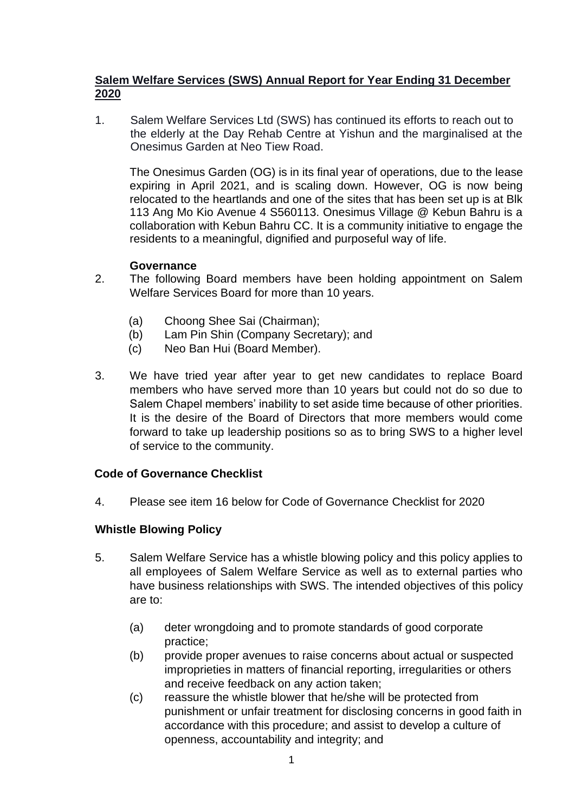#### **Salem Welfare Services (SWS) Annual Report for Year Ending 31 December 2020**

1. Salem Welfare Services Ltd (SWS) has continued its efforts to reach out to the elderly at the Day Rehab Centre at Yishun and the marginalised at the Onesimus Garden at Neo Tiew Road.

The Onesimus Garden (OG) is in its final year of operations, due to the lease expiring in April 2021, and is scaling down. However, OG is now being relocated to the heartlands and one of the sites that has been set up is at Blk 113 Ang Mo Kio Avenue 4 S560113. Onesimus Village @ Kebun Bahru is a collaboration with Kebun Bahru CC. It is a community initiative to engage the residents to a meaningful, dignified and purposeful way of life.

#### **Governance**

- 2. The following Board members have been holding appointment on Salem Welfare Services Board for more than 10 years.
	- (a) Choong Shee Sai (Chairman);
	- (b) Lam Pin Shin (Company Secretary); and
	- (c) Neo Ban Hui (Board Member).
- 3. We have tried year after year to get new candidates to replace Board members who have served more than 10 years but could not do so due to Salem Chapel members' inability to set aside time because of other priorities. It is the desire of the Board of Directors that more members would come forward to take up leadership positions so as to bring SWS to a higher level of service to the community.

## **Code of Governance Checklist**

4. Please see item 16 below for Code of Governance Checklist for 2020

## **Whistle Blowing Policy**

- 5. Salem Welfare Service has a whistle blowing policy and this policy applies to all employees of Salem Welfare Service as well as to external parties who have business relationships with SWS. The intended objectives of this policy are to:
	- (a) deter wrongdoing and to promote standards of good corporate practice;
	- (b) provide proper avenues to raise concerns about actual or suspected improprieties in matters of financial reporting, irregularities or others and receive feedback on any action taken;
	- (c) reassure the whistle blower that he/she will be protected from punishment or unfair treatment for disclosing concerns in good faith in accordance with this procedure; and assist to develop a culture of openness, accountability and integrity; and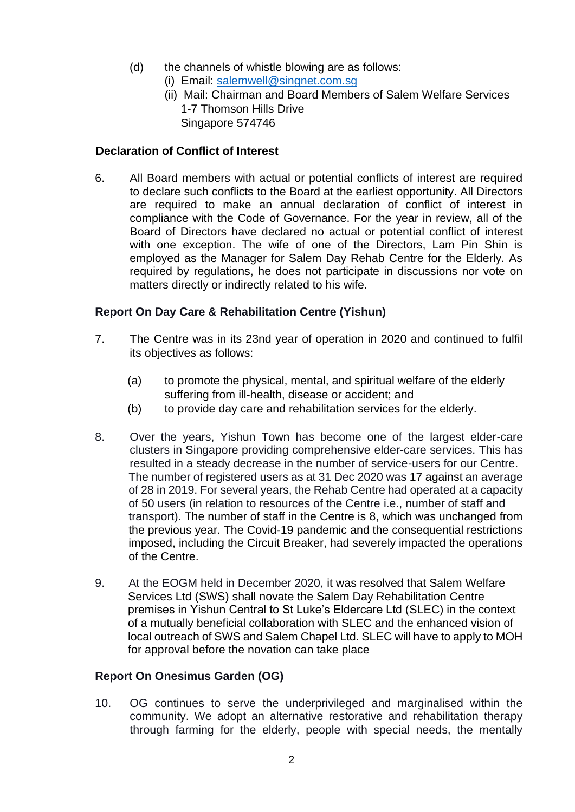- (d) the channels of whistle blowing are as follows:
	- (i) Email: salemwell@singnet.com.sg
		- (ii) Mail: Chairman and Board Members of Salem Welfare Services 1-7 Thomson Hills Drive Singapore 574746

## **Declaration of Conflict of Interest**

6. All Board members with actual or potential conflicts of interest are required to declare such conflicts to the Board at the earliest opportunity. All Directors are required to make an annual declaration of conflict of interest in compliance with the Code of Governance. For the year in review, all of the Board of Directors have declared no actual or potential conflict of interest with one exception. The wife of one of the Directors, Lam Pin Shin is employed as the Manager for Salem Day Rehab Centre for the Elderly. As required by regulations, he does not participate in discussions nor vote on matters directly or indirectly related to his wife.

# **Report On Day Care & Rehabilitation Centre (Yishun)**

- 7. The Centre was in its 23nd year of operation in 2020 and continued to fulfil its objectives as follows:
	- (a) to promote the physical, mental, and spiritual welfare of the elderly suffering from ill-health, disease or accident; and
	- (b) to provide day care and rehabilitation services for the elderly.
- 8. Over the years, Yishun Town has become one of the largest elder-care clusters in Singapore providing comprehensive elder-care services. This has resulted in a steady decrease in the number of service-users for our Centre. The number of registered users as at 31 Dec 2020 was 17 against an average of 28 in 2019. For several years, the Rehab Centre had operated at a capacity of 50 users (in relation to resources of the Centre i.e., number of staff and transport). The number of staff in the Centre is 8, which was unchanged from the previous year. The Covid-19 pandemic and the consequential restrictions imposed, including the Circuit Breaker, had severely impacted the operations of the Centre.
- 9. At the EOGM held in December 2020, it was resolved that Salem Welfare Services Ltd (SWS) shall novate the Salem Day Rehabilitation Centre premises in Yishun Central to St Luke's Eldercare Ltd (SLEC) in the context of a mutually beneficial collaboration with SLEC and the enhanced vision of local outreach of SWS and Salem Chapel Ltd. SLEC will have to apply to MOH for approval before the novation can take place

## **Report On Onesimus Garden (OG)**

10. OG continues to serve the underprivileged and marginalised within the community. We adopt an alternative restorative and rehabilitation therapy through farming for the elderly, people with special needs, the mentally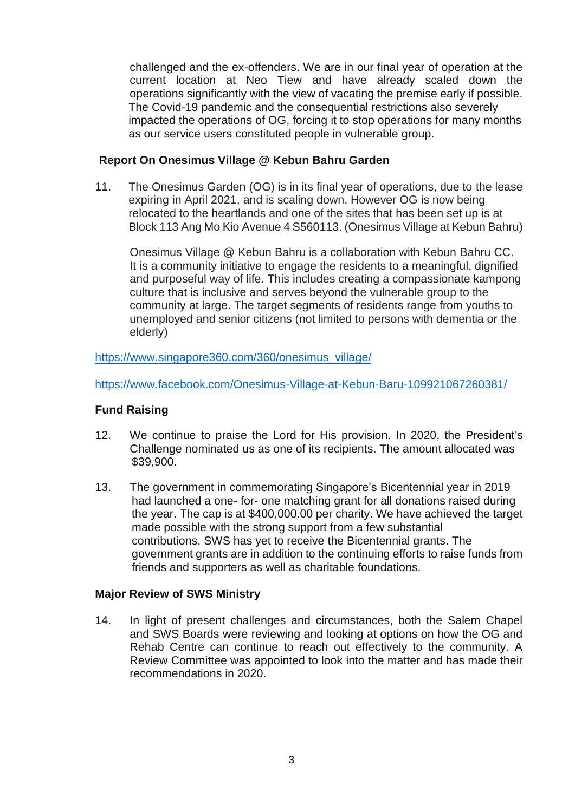challenged and the ex-offenders. We are in our final year of operation at the current location at Neo Tiew and have already scaled down the operations significantly with the view of vacating the premise early if possible. The Covid-19 pandemic and the consequential restrictions also severely impacted the operations of OG, forcing it to stop operations for many months as our service users constituted people in vulnerable group.

#### **Report On Onesimus Village @ Kebun Bahru Garden**

11. The Onesimus Garden (OG) is in its final year of operations, due to the lease expiring in April 2021, and is scaling down. However OG is now being relocated to the heartlands and one of the sites that has been set up is at Block 113 Ang Mo Kio Avenue 4 S560113. (Onesimus Village at Kebun Bahru)

Onesimus Village @ Kebun Bahru is a collaboration with Kebun Bahru CC. It is a community initiative to engage the residents to a meaningful, dignified and purposeful way of life. This includes creating a compassionate kampong culture that is inclusive and serves beyond the vulnerable group to the community at large. The target segments of residents range from youths to unemployed and senior citizens (not limited to persons with dementia or the elderly)

https://www.singapore360.com/360/onesimus\_village/

https://www.facebook.com/Onesimus-Village-at-Kebun-Baru-109921067260381/

#### **Fund Raising**

- 12. We continue to praise the Lord for His provision. In 2020, the President's Challenge nominated us as one of its recipients. The amount allocated was \$39,900.
- 13. The government in commemorating Singapore's Bicentennial year in 2019 had launched a one- for- one matching grant for all donations raised during the year. The cap is at \$400,000.00 per charity. We have achieved the target made possible with the strong support from a few substantial contributions. SWS has yet to receive the Bicentennial grants. The government grants are in addition to the continuing efforts to raise funds from friends and supporters as well as charitable foundations.

## **Major Review of SWS Ministry**

14. In light of present challenges and circumstances, both the Salem Chapel and SWS Boards were reviewing and looking at options on how the OG and Rehab Centre can continue to reach out effectively to the community. A Review Committee was appointed to look into the matter and has made their recommendations in 2020.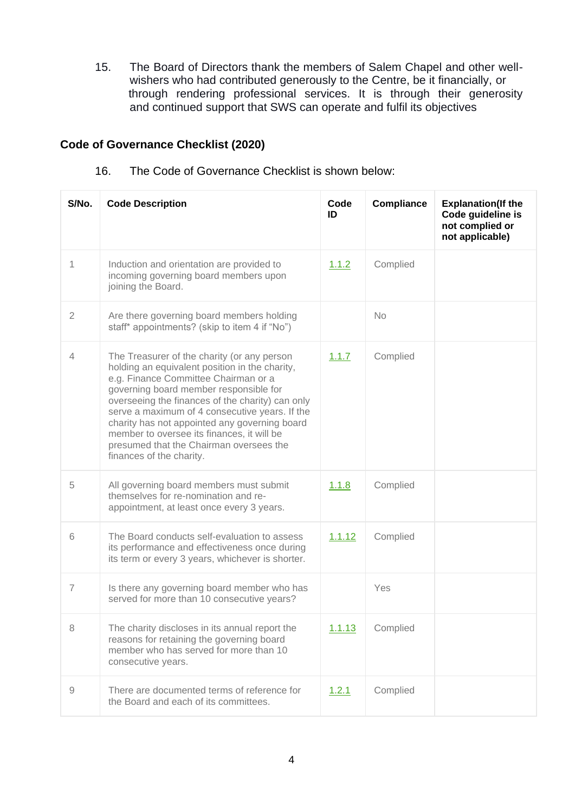15. The Board of Directors thank the members of Salem Chapel and other wellwishers who had contributed generously to the Centre, be it financially, or through rendering professional services. It is through their generosity and continued support that SWS can operate and fulfil its objectives

# **Code of Governance Checklist (2020)**

| S/No.          | <b>Code Description</b>                                                                                                                                                                                                                                                                                                                                                                                                                                     | Code<br>ID | <b>Compliance</b> | <b>Explanation(If the</b><br>Code guideline is<br>not complied or<br>not applicable) |
|----------------|-------------------------------------------------------------------------------------------------------------------------------------------------------------------------------------------------------------------------------------------------------------------------------------------------------------------------------------------------------------------------------------------------------------------------------------------------------------|------------|-------------------|--------------------------------------------------------------------------------------|
| 1              | Induction and orientation are provided to<br>incoming governing board members upon<br>joining the Board.                                                                                                                                                                                                                                                                                                                                                    | 1.1.2      | Complied          |                                                                                      |
| $\overline{2}$ | Are there governing board members holding<br>staff* appointments? (skip to item 4 if "No")                                                                                                                                                                                                                                                                                                                                                                  |            | <b>No</b>         |                                                                                      |
| $\overline{4}$ | The Treasurer of the charity (or any person<br>holding an equivalent position in the charity,<br>e.g. Finance Committee Chairman or a<br>governing board member responsible for<br>overseeing the finances of the charity) can only<br>serve a maximum of 4 consecutive years. If the<br>charity has not appointed any governing board<br>member to oversee its finances, it will be<br>presumed that the Chairman oversees the<br>finances of the charity. | 1.1.7      | Complied          |                                                                                      |
| 5              | All governing board members must submit<br>themselves for re-nomination and re-<br>appointment, at least once every 3 years.                                                                                                                                                                                                                                                                                                                                | 1.1.8      | Complied          |                                                                                      |
| 6              | The Board conducts self-evaluation to assess<br>its performance and effectiveness once during<br>its term or every 3 years, whichever is shorter.                                                                                                                                                                                                                                                                                                           | 1.1.12     | Complied          |                                                                                      |
| $\overline{7}$ | Is there any governing board member who has<br>served for more than 10 consecutive years?                                                                                                                                                                                                                                                                                                                                                                   |            | Yes               |                                                                                      |
| 8              | The charity discloses in its annual report the<br>reasons for retaining the governing board<br>member who has served for more than 10<br>consecutive years.                                                                                                                                                                                                                                                                                                 | 1.1.13     | Complied          |                                                                                      |
| 9              | There are documented terms of reference for<br>the Board and each of its committees.                                                                                                                                                                                                                                                                                                                                                                        | 1.2.1      | Complied          |                                                                                      |

16. The Code of Governance Checklist is shown below: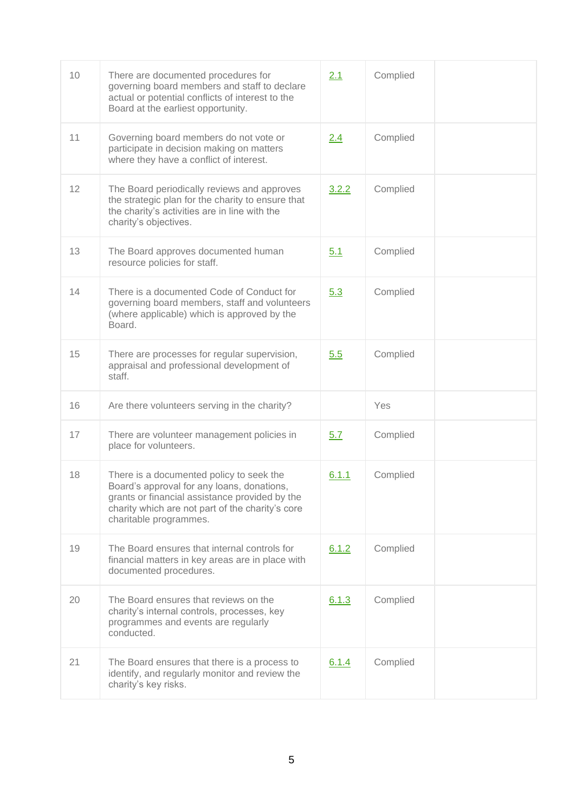| 10 | There are documented procedures for<br>governing board members and staff to declare<br>actual or potential conflicts of interest to the<br>Board at the earliest opportunity.                                          | 2.1        | Complied |  |
|----|------------------------------------------------------------------------------------------------------------------------------------------------------------------------------------------------------------------------|------------|----------|--|
| 11 | Governing board members do not vote or<br>participate in decision making on matters<br>where they have a conflict of interest.                                                                                         | 2.4        | Complied |  |
| 12 | The Board periodically reviews and approves<br>the strategic plan for the charity to ensure that<br>the charity's activities are in line with the<br>charity's objectives.                                             | 3.2.2      | Complied |  |
| 13 | The Board approves documented human<br>resource policies for staff.                                                                                                                                                    | 5.1        | Complied |  |
| 14 | There is a documented Code of Conduct for<br>governing board members, staff and volunteers<br>(where applicable) which is approved by the<br>Board.                                                                    | 5.3        | Complied |  |
| 15 | There are processes for regular supervision,<br>appraisal and professional development of<br>staff.                                                                                                                    | 5.5        | Complied |  |
| 16 | Are there volunteers serving in the charity?                                                                                                                                                                           |            | Yes      |  |
| 17 | There are volunteer management policies in<br>place for volunteers.                                                                                                                                                    | <u>5.7</u> | Complied |  |
| 18 | There is a documented policy to seek the<br>Board's approval for any loans, donations,<br>grants or financial assistance provided by the<br>charity which are not part of the charity's core<br>charitable programmes. | 6.1.1      | Complied |  |
| 19 | The Board ensures that internal controls for<br>financial matters in key areas are in place with<br>documented procedures.                                                                                             | 6.1.2      | Complied |  |
| 20 | The Board ensures that reviews on the<br>charity's internal controls, processes, key<br>programmes and events are regularly<br>conducted.                                                                              | 6.1.3      | Complied |  |
| 21 | The Board ensures that there is a process to<br>identify, and regularly monitor and review the<br>charity's key risks.                                                                                                 | 6.1.4      | Complied |  |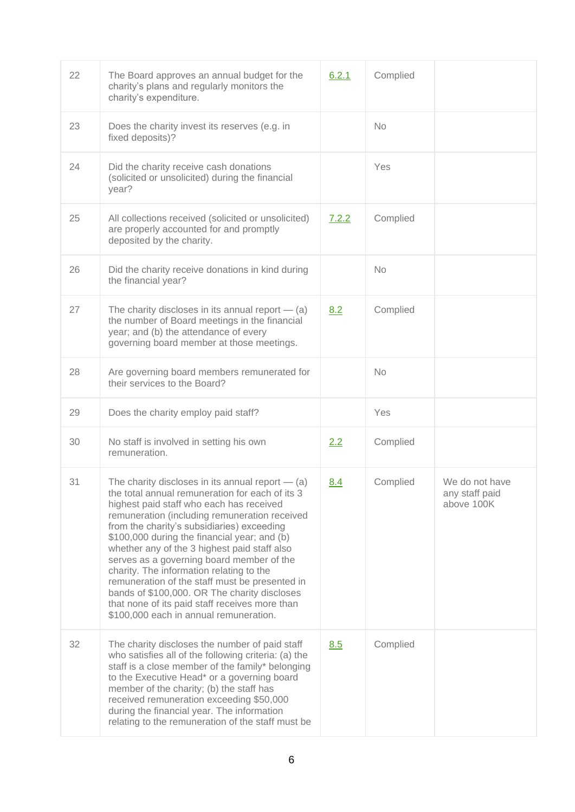| 22 | The Board approves an annual budget for the<br>charity's plans and regularly monitors the<br>charity's expenditure.                                                                                                                                                                                                                                                                                                                                                                                                                                                                                                                     | 6.2.1 | Complied  |                                                |
|----|-----------------------------------------------------------------------------------------------------------------------------------------------------------------------------------------------------------------------------------------------------------------------------------------------------------------------------------------------------------------------------------------------------------------------------------------------------------------------------------------------------------------------------------------------------------------------------------------------------------------------------------------|-------|-----------|------------------------------------------------|
| 23 | Does the charity invest its reserves (e.g. in<br>fixed deposits)?                                                                                                                                                                                                                                                                                                                                                                                                                                                                                                                                                                       |       | <b>No</b> |                                                |
| 24 | Did the charity receive cash donations<br>(solicited or unsolicited) during the financial<br>year?                                                                                                                                                                                                                                                                                                                                                                                                                                                                                                                                      |       | Yes       |                                                |
| 25 | All collections received (solicited or unsolicited)<br>are properly accounted for and promptly<br>deposited by the charity.                                                                                                                                                                                                                                                                                                                                                                                                                                                                                                             | 7.2.2 | Complied  |                                                |
| 26 | Did the charity receive donations in kind during<br>the financial year?                                                                                                                                                                                                                                                                                                                                                                                                                                                                                                                                                                 |       | <b>No</b> |                                                |
| 27 | The charity discloses in its annual report $-$ (a)<br>the number of Board meetings in the financial<br>year; and (b) the attendance of every<br>governing board member at those meetings.                                                                                                                                                                                                                                                                                                                                                                                                                                               | 8.2   | Complied  |                                                |
| 28 | Are governing board members remunerated for<br>their services to the Board?                                                                                                                                                                                                                                                                                                                                                                                                                                                                                                                                                             |       | <b>No</b> |                                                |
| 29 | Does the charity employ paid staff?                                                                                                                                                                                                                                                                                                                                                                                                                                                                                                                                                                                                     |       | Yes       |                                                |
| 30 | No staff is involved in setting his own<br>remuneration.                                                                                                                                                                                                                                                                                                                                                                                                                                                                                                                                                                                | 2.2   | Complied  |                                                |
| 31 | The charity discloses in its annual report $-$ (a)<br>the total annual remuneration for each of its 3<br>highest paid staff who each has received<br>remuneration (including remuneration received<br>from the charity's subsidiaries) exceeding<br>\$100,000 during the financial year; and (b)<br>whether any of the 3 highest paid staff also<br>serves as a governing board member of the<br>charity. The information relating to the<br>remuneration of the staff must be presented in<br>bands of \$100,000. OR The charity discloses<br>that none of its paid staff receives more than<br>\$100,000 each in annual remuneration. | 8.4   | Complied  | We do not have<br>any staff paid<br>above 100K |
| 32 | The charity discloses the number of paid staff<br>who satisfies all of the following criteria: (a) the<br>staff is a close member of the family* belonging<br>to the Executive Head* or a governing board<br>member of the charity; (b) the staff has<br>received remuneration exceeding \$50,000<br>during the financial year. The information<br>relating to the remuneration of the staff must be                                                                                                                                                                                                                                    | 8.5   | Complied  |                                                |